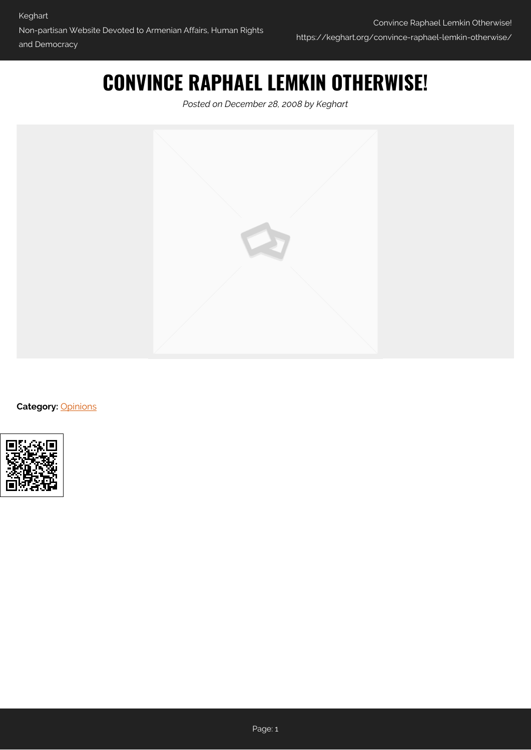## **CONVINCE RAPHAEL LEMKIN OTHERWISE!**

*Posted on December 28, 2008 by Keghart*



**Category:** [Opinions](https://keghart.org/category/opinions/)

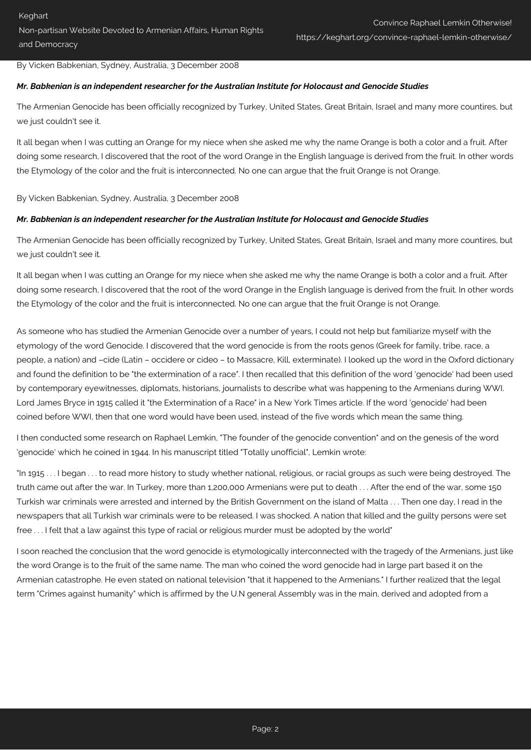By Vicken Babkenian, Sydney, Australia, 3 December 2008

## *Mr. Babkenian is an independent researcher for the Australian Institute for Holocaust and Genocide Studies*

The Armenian Genocide has been officially recognized by Turkey, United States, Great Britain, Israel and many more countires, but we just couldn't see it.

It all began when I was cutting an Orange for my niece when she asked me why the name Orange is both a color and a fruit. After doing some research, I discovered that the root of the word Orange in the English language is derived from the fruit. In other words the Etymology of the color and the fruit is interconnected. No one can argue that the fruit Orange is not Orange.

By Vicken Babkenian, Sydney, Australia, 3 December 2008

## *Mr. Babkenian is an independent researcher for the Australian Institute for Holocaust and Genocide Studies*

The Armenian Genocide has been officially recognized by Turkey, United States, Great Britain, Israel and many more countires, but we just couldn't see it.

It all began when I was cutting an Orange for my niece when she asked me why the name Orange is both a color and a fruit. After doing some research, I discovered that the root of the word Orange in the English language is derived from the fruit. In other words the Etymology of the color and the fruit is interconnected. No one can argue that the fruit Orange is not Orange.

As someone who has studied the Armenian Genocide over a number of years, I could not help but familiarize myself with the etymology of the word Genocide. I discovered that the word genocide is from the roots genos (Greek for family, tribe, race, a people, a nation) and –cide (Latin – occidere or cideo – to Massacre, Kill, exterminate). I looked up the word in the Oxford dictionary and found the definition to be "the extermination of a race". I then recalled that this definition of the word 'genocide' had been used by contemporary eyewitnesses, diplomats, historians, journalists to describe what was happening to the Armenians during WWI. Lord James Bryce in 1915 called it "the Extermination of a Race" in a New York Times article. If the word 'genocide' had been coined before WWI, then that one word would have been used, instead of the five words which mean the same thing.

I then conducted some research on Raphael Lemkin, "The founder of the genocide convention" and on the genesis of the word 'genocide' which he coined in 1944. In his manuscript titled "Totally unofficial", Lemkin wrote:

"In 1915 . . . I began . . . to read more history to study whether national, religious, or racial groups as such were being destroyed. The truth came out after the war. In Turkey, more than 1,200,000 Armenians were put to death . . . After the end of the war, some 150 Turkish war criminals were arrested and interned by the British Government on the island of Malta . . . Then one day, I read in the newspapers that all Turkish war criminals were to be released. I was shocked. A nation that killed and the guilty persons were set free . . . I felt that a law against this type of racial or religious murder must be adopted by the world"

I soon reached the conclusion that the word genocide is etymologically interconnected with the tragedy of the Armenians, just like the word Orange is to the fruit of the same name. The man who coined the word genocide had in large part based it on the Armenian catastrophe. He even stated on national television "that it happened to the Armenians." I further realized that the legal term "Crimes against humanity" which is affirmed by the U.N general Assembly was in the main, derived and adopted from a